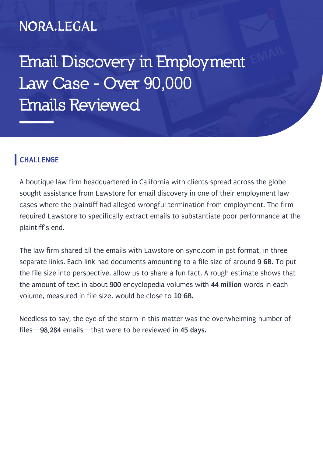## NORA.LEGAL

**Email Discovery in Employment Law Case - Over 90,000 Emails Reviewed**

#### **CHALLENGE**

A boutique law firm headquartered in California with clients spread across the globe sought assistance from Lawstore for email discovery in one of their employment law cases where the plaintiff had alleged wrongful termination from employment. The firm required Lawstore to specifically extract emails to substantiate poor performance at the plaintiff's end.

The law firm shared all the emails with Lawstore on sync.com in pst format, in three separate links. Each link had documents amounting to a file size of around **9 GB.** To put the file size into perspective, allow us to share a fun fact. A rough estimate shows that the amount of text in about **900** encyclopedia volumes with **44 million** words in each volume, measured in file size, would be close to **10 GB.**

Needless to say, the eye of the storm in this matter was the overwhelming number of files—**98,284** emails—that were to be reviewed in **45 days.**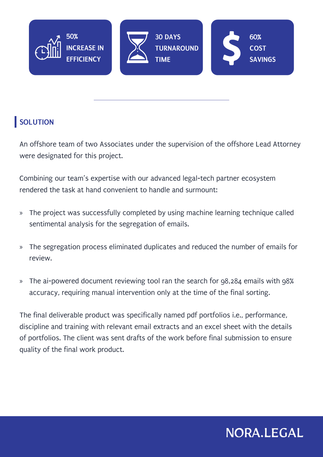

#### **SOLUTION**

An offshore team of two Associates under the supervision of the offshore Lead Attorney were designated for this project.

Combining our team's expertise with our advanced legal-tech partner ecosystem rendered the task at hand convenient to handle and surmount:

- » The project was successfully completed by using machine learning technique called sentimental analysis for the segregation of emails.
- » The segregation process eliminated duplicates and reduced the number of emails for review.
- » The ai-powered document reviewing tool ran the search for 98,284 emails with 98% accuracy, requiring manual intervention only at the time of the final sorting.

The final deliverable product was specifically named pdf portfolios i.e., performance, discipline and training with relevant email extracts and an excel sheet with the details of portfolios. The client was sent drafts of the work before final submission to ensure quality of the final work product.

# NORA.LEGAL